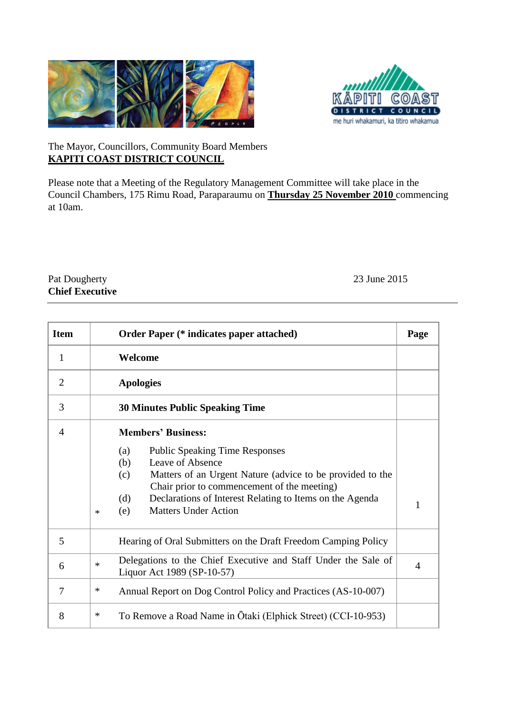



## The Mayor, Councillors, Community Board Members **KAPITI COAST DISTRICT COUNCIL**

Please note that a Meeting of the Regulatory Management Committee will take place in the Council Chambers, 175 Rimu Road, Paraparaumu on **Thursday 25 November 2010** commencing at 10am.

## Pat Dougherty 23 June 2015 **Chief Executive**

| <b>Item</b>    | <b>Order Paper (* indicates paper attached)</b>                                                                                                                                                                                                                                                               |   |  |
|----------------|---------------------------------------------------------------------------------------------------------------------------------------------------------------------------------------------------------------------------------------------------------------------------------------------------------------|---|--|
| 1              | Welcome                                                                                                                                                                                                                                                                                                       |   |  |
| $\overline{2}$ | <b>Apologies</b>                                                                                                                                                                                                                                                                                              |   |  |
| 3              | <b>30 Minutes Public Speaking Time</b>                                                                                                                                                                                                                                                                        |   |  |
| $\overline{4}$ | <b>Members' Business:</b>                                                                                                                                                                                                                                                                                     |   |  |
|                | (a)<br><b>Public Speaking Time Responses</b><br>Leave of Absence<br>(b)<br>Matters of an Urgent Nature (advice to be provided to the<br>(c)<br>Chair prior to commencement of the meeting)<br>Declarations of Interest Relating to Items on the Agenda<br>(d)<br><b>Matters Under Action</b><br>(e)<br>$\ast$ | 1 |  |
| 5              | Hearing of Oral Submitters on the Draft Freedom Camping Policy                                                                                                                                                                                                                                                |   |  |
| 6              | Delegations to the Chief Executive and Staff Under the Sale of<br>$\ast$<br>$\overline{4}$<br>Liquor Act 1989 (SP-10-57)                                                                                                                                                                                      |   |  |
| 7              | ∗<br>Annual Report on Dog Control Policy and Practices (AS-10-007)                                                                                                                                                                                                                                            |   |  |
| 8              | ∗<br>To Remove a Road Name in Ōtaki (Elphick Street) (CCI-10-953)                                                                                                                                                                                                                                             |   |  |